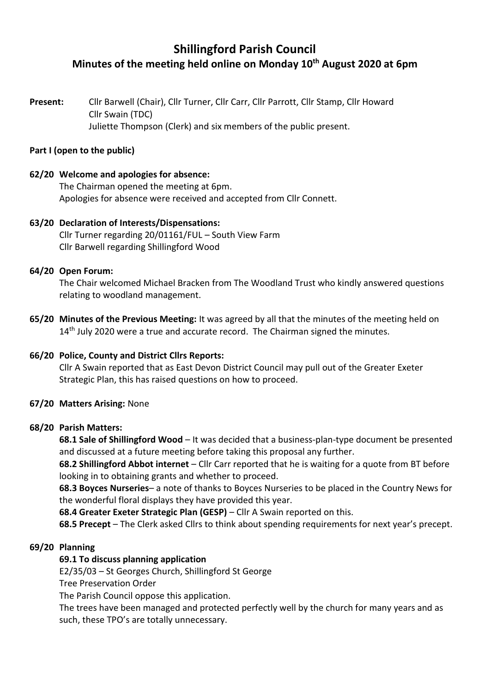# **Shillingford Parish Council Minutes of the meeting held online on Monday 10th August 2020 at 6pm**

**Present:** Cllr Barwell (Chair), Cllr Turner, Cllr Carr, Cllr Parrott, Cllr Stamp, Cllr Howard Cllr Swain (TDC) Juliette Thompson (Clerk) and six members of the public present.

#### **Part I (open to the public)**

#### **62/20 Welcome and apologies for absence:**

The Chairman opened the meeting at 6pm. Apologies for absence were received and accepted from Cllr Connett.

# **63/20 Declaration of Interests/Dispensations:**

Cllr Turner regarding 20/01161/FUL – South View Farm Cllr Barwell regarding Shillingford Wood

#### **64/20 Open Forum:**

The Chair welcomed Michael Bracken from The Woodland Trust who kindly answered questions relating to woodland management.

**65/20 Minutes of the Previous Meeting:** It was agreed by all that the minutes of the meeting held on 14<sup>th</sup> July 2020 were a true and accurate record. The Chairman signed the minutes.

# **66/20 Police, County and District Cllrs Reports:**

Cllr A Swain reported that as East Devon District Council may pull out of the Greater Exeter Strategic Plan, this has raised questions on how to proceed.

#### **67/20 Matters Arising:** None

#### **68/20 Parish Matters:**

**68.1 Sale of Shillingford Wood** – It was decided that a business-plan-type document be presented and discussed at a future meeting before taking this proposal any further.

**68.2 Shillingford Abbot internet** – Cllr Carr reported that he is waiting for a quote from BT before looking in to obtaining grants and whether to proceed.

**68.3 Boyces Nurseries**– a note of thanks to Boyces Nurseries to be placed in the Country News for the wonderful floral displays they have provided this year.

**68.4 Greater Exeter Strategic Plan (GESP)** – Cllr A Swain reported on this.

**68.5 Precept** – The Clerk asked Cllrs to think about spending requirements for next year's precept.

# **69/20 Planning**

# **69.1 To discuss planning application**

E2/35/03 – St Georges Church, Shillingford St George

Tree Preservation Order

The Parish Council oppose this application.

The trees have been managed and protected perfectly well by the church for many years and as such, these TPO's are totally unnecessary.